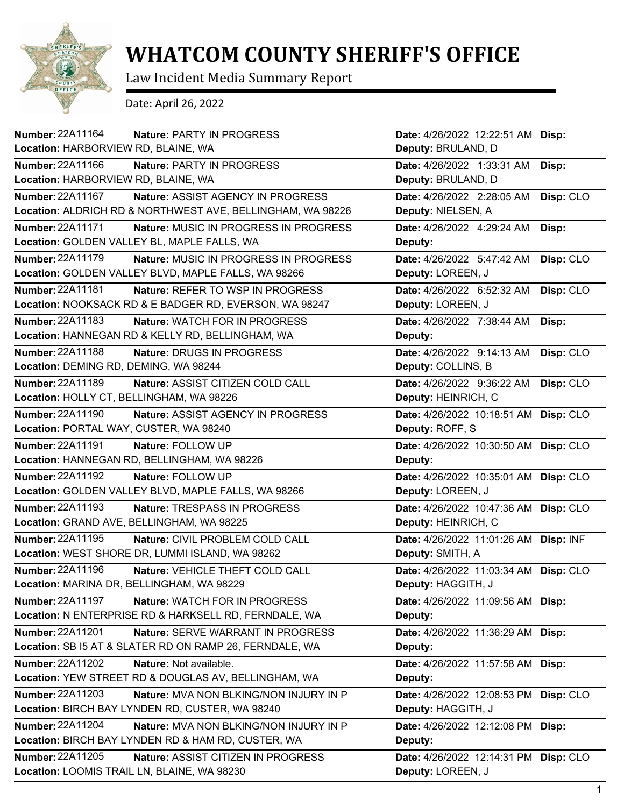

## **WHATCOM COUNTY SHERIFF'S OFFICE**

Law Incident Media Summary Report

Date: April 26, 2022

| Number: 22A11164<br><b>Nature: PARTY IN PROGRESS</b>                    | Date: 4/26/2022 12:22:51 AM Disp:     |           |
|-------------------------------------------------------------------------|---------------------------------------|-----------|
| Location: HARBORVIEW RD, BLAINE, WA                                     | Deputy: BRULAND, D                    |           |
| <b>Number: 22A11166</b><br><b>Nature: PARTY IN PROGRESS</b>             | Date: 4/26/2022 1:33:31 AM            | Disp:     |
| Location: HARBORVIEW RD, BLAINE, WA                                     | Deputy: BRULAND, D                    |           |
| <b>Number: 22A11167</b><br>Nature: ASSIST AGENCY IN PROGRESS            | Date: 4/26/2022 2:28:05 AM            | Disp: CLO |
| Location: ALDRICH RD & NORTHWEST AVE, BELLINGHAM, WA 98226              | Deputy: NIELSEN, A                    |           |
| <b>Number: 22A11171</b><br><b>Nature: MUSIC IN PROGRESS IN PROGRESS</b> | Date: 4/26/2022 4:29:24 AM            | Disp:     |
| Location: GOLDEN VALLEY BL, MAPLE FALLS, WA                             | Deputy:                               |           |
| <b>Number: 22A11179</b><br>Nature: MUSIC IN PROGRESS IN PROGRESS        | Date: 4/26/2022 5:47:42 AM            | Disp: CLO |
| Location: GOLDEN VALLEY BLVD, MAPLE FALLS, WA 98266                     | Deputy: LOREEN, J                     |           |
| Number: 22A11181<br>Nature: REFER TO WSP IN PROGRESS                    | Date: 4/26/2022 6:52:32 AM            | Disp: CLO |
| Location: NOOKSACK RD & E BADGER RD, EVERSON, WA 98247                  | Deputy: LOREEN, J                     |           |
| <b>Number: 22A11183</b><br><b>Nature: WATCH FOR IN PROGRESS</b>         | Date: 4/26/2022 7:38:44 AM            | Disp:     |
| Location: HANNEGAN RD & KELLY RD, BELLINGHAM, WA                        | Deputy:                               |           |
| <b>Number: 22A11188</b><br>Nature: DRUGS IN PROGRESS                    | Date: 4/26/2022 9:14:13 AM            | Disp: CLO |
| Location: DEMING RD, DEMING, WA 98244                                   | Deputy: COLLINS, B                    |           |
| Number: 22A11189<br>Nature: ASSIST CITIZEN COLD CALL                    | Date: 4/26/2022 9:36:22 AM            | Disp: CLO |
| Location: HOLLY CT, BELLINGHAM, WA 98226                                | Deputy: HEINRICH, C                   |           |
| Number: 22A11190<br><b>Nature: ASSIST AGENCY IN PROGRESS</b>            | Date: 4/26/2022 10:18:51 AM Disp: CLO |           |
| Location: PORTAL WAY, CUSTER, WA 98240                                  | Deputy: ROFF, S                       |           |
| <b>Number: 22A11191</b><br>Nature: FOLLOW UP                            | Date: 4/26/2022 10:30:50 AM Disp: CLO |           |
|                                                                         | Deputy:                               |           |
| Location: HANNEGAN RD, BELLINGHAM, WA 98226                             |                                       |           |
| Number: 22A11192<br>Nature: FOLLOW UP                                   | Date: 4/26/2022 10:35:01 AM Disp: CLO |           |
| Location: GOLDEN VALLEY BLVD, MAPLE FALLS, WA 98266                     | Deputy: LOREEN, J                     |           |
| <b>Number: 22A11193</b><br>Nature: TRESPASS IN PROGRESS                 | Date: 4/26/2022 10:47:36 AM Disp: CLO |           |
| Location: GRAND AVE, BELLINGHAM, WA 98225                               | Deputy: HEINRICH, C                   |           |
| <b>Number: 22A11195</b><br>Nature: CIVIL PROBLEM COLD CALL              | Date: 4/26/2022 11:01:26 AM Disp: INF |           |
| Location: WEST SHORE DR, LUMMI ISLAND, WA 98262                         | Deputy: SMITH, A                      |           |
| <b>Number: 22A11196</b><br>Nature: VEHICLE THEFT COLD CALL              | Date: 4/26/2022 11:03:34 AM Disp: CLO |           |
| Location: MARINA DR, BELLINGHAM, WA 98229                               | Deputy: HAGGITH, J                    |           |
| <b>Number: 22A11197</b><br>Nature: WATCH FOR IN PROGRESS                | Date: 4/26/2022 11:09:56 AM Disp:     |           |
| Location: N ENTERPRISE RD & HARKSELL RD, FERNDALE, WA                   | Deputy:                               |           |
| Number: 22A11201<br>Nature: SERVE WARRANT IN PROGRESS                   | Date: 4/26/2022 11:36:29 AM Disp:     |           |
| Location: SB I5 AT & SLATER RD ON RAMP 26, FERNDALE, WA                 | Deputy:                               |           |
| Number: 22A11202<br>Nature: Not available.                              | Date: 4/26/2022 11:57:58 AM           | Disp:     |
| Location: YEW STREET RD & DOUGLAS AV, BELLINGHAM, WA                    | Deputy:                               |           |
| Number: 22A11203<br>Nature: MVA NON BLKING/NON INJURY IN P              | Date: 4/26/2022 12:08:53 PM Disp: CLO |           |
| Location: BIRCH BAY LYNDEN RD, CUSTER, WA 98240                         | Deputy: HAGGITH, J                    |           |
| <b>Number: 22A11204</b><br>Nature: MVA NON BLKING/NON INJURY IN P       | Date: 4/26/2022 12:12:08 PM Disp:     |           |
| Location: BIRCH BAY LYNDEN RD & HAM RD, CUSTER, WA                      | Deputy:                               |           |
| Number: 22A11205<br>Nature: ASSIST CITIZEN IN PROGRESS                  | Date: 4/26/2022 12:14:31 PM Disp: CLO |           |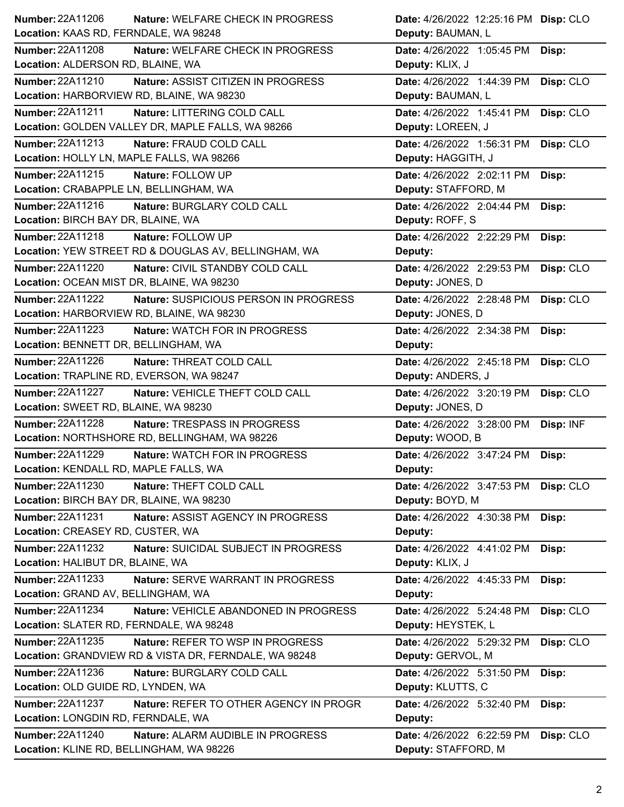| <b>Number: 22A11206</b>                   | <b>Nature: WELFARE CHECK IN PROGRESS</b>              | Date: 4/26/2022 12:25:16 PM Disp: CLO |           |
|-------------------------------------------|-------------------------------------------------------|---------------------------------------|-----------|
| Location: KAAS RD, FERNDALE, WA 98248     |                                                       | Deputy: BAUMAN, L                     |           |
| <b>Number: 22A11208</b>                   | Nature: WELFARE CHECK IN PROGRESS                     | Date: 4/26/2022 1:05:45 PM            | Disp:     |
| Location: ALDERSON RD, BLAINE, WA         |                                                       | Deputy: KLIX, J                       |           |
| <b>Number: 22A11210</b>                   | Nature: ASSIST CITIZEN IN PROGRESS                    | Date: 4/26/2022 1:44:39 PM            | Disp: CLO |
| Location: HARBORVIEW RD, BLAINE, WA 98230 |                                                       | Deputy: BAUMAN, L                     |           |
| <b>Number: 22A11211</b>                   | Nature: LITTERING COLD CALL                           | Date: 4/26/2022 1:45:41 PM            | Disp: CLO |
|                                           | Location: GOLDEN VALLEY DR, MAPLE FALLS, WA 98266     | Deputy: LOREEN, J                     |           |
| Number: 22A11213                          | Nature: FRAUD COLD CALL                               | Date: 4/26/2022 1:56:31 PM            | Disp: CLO |
| Location: HOLLY LN, MAPLE FALLS, WA 98266 |                                                       | Deputy: HAGGITH, J                    |           |
| Number: 22A11215                          | Nature: FOLLOW UP                                     | Date: 4/26/2022 2:02:11 PM            | Disp:     |
| Location: CRABAPPLE LN, BELLINGHAM, WA    |                                                       | Deputy: STAFFORD, M                   |           |
| Number: 22A11216                          | Nature: BURGLARY COLD CALL                            | Date: 4/26/2022 2:04:44 PM            | Disp:     |
| Location: BIRCH BAY DR, BLAINE, WA        |                                                       | Deputy: ROFF, S                       |           |
| Number: 22A11218                          | Nature: FOLLOW UP                                     | Date: 4/26/2022 2:22:29 PM            | Disp:     |
|                                           | Location: YEW STREET RD & DOUGLAS AV, BELLINGHAM, WA  | Deputy:                               |           |
| <b>Number: 22A11220</b>                   | Nature: CIVIL STANDBY COLD CALL                       | Date: 4/26/2022 2:29:53 PM            | Disp: CLO |
| Location: OCEAN MIST DR, BLAINE, WA 98230 |                                                       | Deputy: JONES, D                      |           |
| <b>Number: 22A11222</b>                   | Nature: SUSPICIOUS PERSON IN PROGRESS                 | Date: 4/26/2022 2:28:48 PM            | Disp: CLO |
| Location: HARBORVIEW RD, BLAINE, WA 98230 |                                                       | Deputy: JONES, D                      |           |
| <b>Number: 22A11223</b>                   | <b>Nature: WATCH FOR IN PROGRESS</b>                  | Date: 4/26/2022 2:34:38 PM            | Disp:     |
| Location: BENNETT DR, BELLINGHAM, WA      |                                                       | Deputy:                               |           |
| Number: 22A11226                          | Nature: THREAT COLD CALL                              | Date: 4/26/2022 2:45:18 PM            | Disp: CLO |
| Location: TRAPLINE RD, EVERSON, WA 98247  |                                                       | Deputy: ANDERS, J                     |           |
| <b>Number: 22A11227</b>                   | Nature: VEHICLE THEFT COLD CALL                       | Date: 4/26/2022 3:20:19 PM            | Disp: CLO |
|                                           |                                                       |                                       |           |
| Location: SWEET RD, BLAINE, WA 98230      |                                                       | Deputy: JONES, D                      |           |
| Number: 22A11228                          | Nature: TRESPASS IN PROGRESS                          | Date: 4/26/2022 3:28:00 PM            | Disp: INF |
|                                           | Location: NORTHSHORE RD, BELLINGHAM, WA 98226         | Deputy: WOOD, B                       |           |
| Number: 22A11229                          | Nature: WATCH FOR IN PROGRESS                         | Date: 4/26/2022 3:47:24 PM            | Disp:     |
| Location: KENDALL RD, MAPLE FALLS, WA     |                                                       | <b>Deputy:</b>                        |           |
| <b>Number: 22A11230</b>                   | Nature: THEFT COLD CALL                               | Date: 4/26/2022 3:47:53 PM Disp: CLO  |           |
| Location: BIRCH BAY DR, BLAINE, WA 98230  |                                                       | Deputy: BOYD, M                       |           |
| Number: 22A11231                          | Nature: ASSIST AGENCY IN PROGRESS                     | Date: 4/26/2022 4:30:38 PM            | Disp:     |
| Location: CREASEY RD, CUSTER, WA          |                                                       | Deputy:                               |           |
| <b>Number: 22A11232</b>                   | Nature: SUICIDAL SUBJECT IN PROGRESS                  | Date: 4/26/2022 4:41:02 PM            | Disp:     |
| Location: HALIBUT DR, BLAINE, WA          |                                                       | Deputy: KLIX, J                       |           |
| Number: 22A11233                          | Nature: SERVE WARRANT IN PROGRESS                     | Date: 4/26/2022 4:45:33 PM            | Disp:     |
| Location: GRAND AV, BELLINGHAM, WA        |                                                       | Deputy:                               |           |
| Number: 22A11234                          | Nature: VEHICLE ABANDONED IN PROGRESS                 | Date: 4/26/2022 5:24:48 PM            | Disp: CLO |
| Location: SLATER RD, FERNDALE, WA 98248   |                                                       | Deputy: HEYSTEK, L                    |           |
| Number: 22A11235                          | Nature: REFER TO WSP IN PROGRESS                      | Date: 4/26/2022 5:29:32 PM            | Disp: CLO |
|                                           | Location: GRANDVIEW RD & VISTA DR, FERNDALE, WA 98248 | Deputy: GERVOL, M                     |           |
| Number: 22A11236                          | Nature: BURGLARY COLD CALL                            | Date: 4/26/2022 5:31:50 PM            | Disp:     |
| Location: OLD GUIDE RD, LYNDEN, WA        |                                                       | Deputy: KLUTTS, C                     |           |
| <b>Number: 22A11237</b>                   | <b>Nature: REFER TO OTHER AGENCY IN PROGR</b>         | Date: 4/26/2022 5:32:40 PM            | Disp:     |
| Location: LONGDIN RD, FERNDALE, WA        |                                                       | Deputy:                               |           |
| <b>Number: 22A11240</b>                   | Nature: ALARM AUDIBLE IN PROGRESS                     | Date: 4/26/2022 6:22:59 PM            | Disp: CLO |